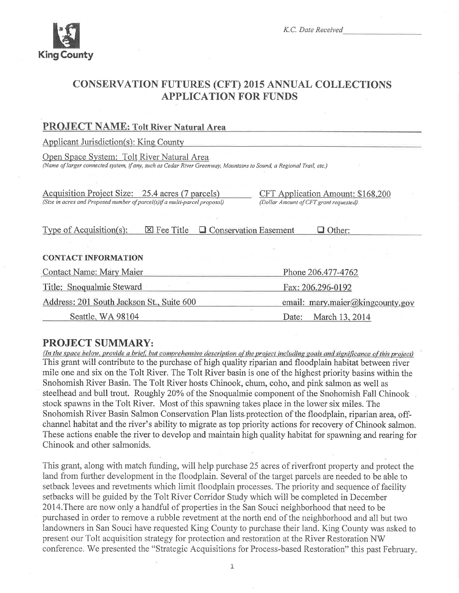

## **CONSERVATION FUTURES (CFT) 2015 ANNUAL COLLECTIONS APPLICATION FOR FUNDS**

| PROJECT NAME: TOIL River Natural Area                                                                                                                             |                                                                             |
|-------------------------------------------------------------------------------------------------------------------------------------------------------------------|-----------------------------------------------------------------------------|
| Applicant Jurisdiction(s): King County                                                                                                                            |                                                                             |
| Open Space System: Tolt River Natural Area<br>(Name of larger connected system, if any, such as Cedar River Greenway, Mountains to Sound, a Regional Trail, etc.) |                                                                             |
| Acquisition Project Size: 25.4 acres (7 parcels)<br>(Size in acres and Proposed number of parcel(s)if a multi-parcel proposal)                                    | CFT Application Amount: \$168,200<br>(Dollar Amount of CFT grant requested) |
| Type of Acquisition(s):<br>$\boxtimes$ Fee Title                                                                                                                  | <b>Q</b> Conservation Easement<br>$\Box$ Other:                             |
| <b>CONTACT INFORMATION</b>                                                                                                                                        |                                                                             |
| Contact Name: Mary Maier                                                                                                                                          | Phone 206.477-4762                                                          |
| Title: Snoqualmie Steward                                                                                                                                         | Fax: 206.296-0192                                                           |
| Address: 201 South Jackson St., Suite 600                                                                                                                         | email: mary.maier@kingcounty.gov                                            |
| Seattle, WA 98104                                                                                                                                                 | March 13, 2014<br>Date:                                                     |

## **PROJECT SUMMARY:**

DDAIDAD MALAT REVIS

(In the space below, provide a brief, but comprehensive description of the project including goals and significance of this project) This grant will contribute to the purchase of high quality riparian and floodplain habitat between river mile one and six on the Tolt River. The Tolt River basin is one of the highest priority basins within the Snohomish River Basin. The Tolt River hosts Chinook, chum, coho, and pink salmon as well as steelhead and bull trout. Roughly 20% of the Snoqualmie component of the Snohomish Fall Chinook stock spawns in the Tolt River. Most of this spawning takes place in the lower six miles. The Snohomish River Basin Salmon Conservation Plan lists protection of the floodplain, riparian area, offchannel habitat and the river's ability to migrate as top priority actions for recovery of Chinook salmon. These actions enable the river to develop and maintain high quality habitat for spawning and rearing for Chinook and other salmonids.

This grant, along with match funding, will help purchase 25 acres of riverfront property and protect the land from further development in the floodplain. Several of the target parcels are needed to be able to setback levees and revetments which limit floodplain processes. The priority and sequence of facility setbacks will be guided by the Tolt River Corridor Study which will be completed in December 2014. There are now only a handful of properties in the San Souci neighborhood that need to be purchased in order to remove a rubble revetment at the north end of the neighborhood and all but two landowners in San Souci have requested King County to purchase their land. King County was asked to present our Tolt acquisition strategy for protection and restoration at the River Restoration NW conference. We presented the "Strategic Acquisitions for Process-based Restoration" this past February.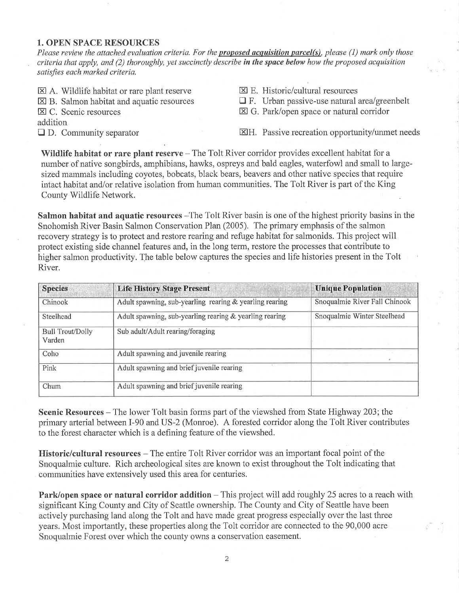#### 1. OPEN SPACE RESOURCES

Please review the attached evaluation criteria. For the proposed acquisition parcel(s), please (1) mark only those criteria that apply, and (2) thoroughly, yet succinctly describe in the space below how the proposed acquisition satisfies each marked criteria.

- $\boxtimes$  A. Wildlife habitat or rare plant reserve
- $\boxtimes$  B. Salmon habitat and aquatic resources
- E C. Scenic resources
- addition

 $\square$  D. Community separator

- $\Sigma$  E. Historic/cultural resources
- $\Box$  F. Urban passive-use natural area/greenbelt
- E G. Park/open space or natural corridor

EH. Passive recreation opportunity/unmet needs

Wildlife habitat or rare plant reserve  $-$  The Tolt River corridor provides excellent habitat for a number of native songbirds, amphibians, hawks, ospreys and bald eagles, waterfowl and small to largesized mammals including coyotes, bobcats, black bears, beavers and other native species that require intact habitat and/or relative isolation from human communities. The Tolt River is part of the King County Wildlife Network.

Salmon habitat and aquatic resources – The Tolt River basin is one of the highest priority basins in the Snohomish River Basin Salmon Conservation Plan (2005). The primary emphasis of the salmon iecovery strategy is to protect and restore rearing and refuge habitat for salmonids. This project will protect existing side channel features and, in the long term, restore the processes that contribute to higher salmon productivity. The table below captures the species and life histories present in the Tolt River.

| <b>Species</b>                    | <b>Life History Stage Present</b>                       | <b>Unique Population</b>      |
|-----------------------------------|---------------------------------------------------------|-------------------------------|
| Chinook                           | Adult spawning, sub-yearling rearing & yearling rearing | Snoqualmie River Fall Chinook |
| Steelhead                         | Adult spawning, sub-yearling rearing & yearling rearing | Snoqualmie Winter Steelhead   |
| <b>Bull Trout/Dolly</b><br>Varden | Sub adult/Adult rearing/foraging                        |                               |
| Coho                              | Adult spawning and juvenile rearing                     |                               |
| Pink                              | Adult spawning and brief juvenile rearing               |                               |
| Chum                              | Adult spawning and brief juvenile rearing               |                               |

Scenic Resources – The lower Tolt basin forms part of the viewshed from State Highway 203; the primary arterial between I-90 and US-2 (Monroe). A forested corridor along the Tolt River contributes to the forest character which is a defining feature of the viewshed.

Historic/cultural resources - The entire Tolt River corridor was an important focal point of the Snoqualmie culture. Rich archeological sites are known to exist throughout the Tolt indicating that communities have extensively used this area for centuries.

Park/open space or natural corridor addition – This project will add roughly 25 acres to a reach with significant King County and City of Seattle ownership. The County and City of Seattle have been actively purchasing land along the Tolt and have made great progress especially over the last three years. Most importantly, these properties along the Tolt corridor are connected to the 90,000 acre Snoqualmie Forest over which the county owns a conservation easement.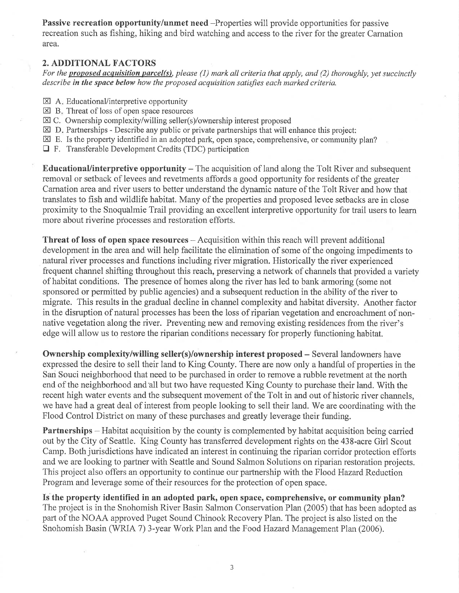Passive recreation opportunity/unmet need -Properties will provide opportunities for passive recreation such as fishing, hiking and bird watching and access to the river for the greater Carnation area.

#### 2. ADDITIONAL FACTORS

For the proposed acquisition parcel(s), please (1) mark all criteria that apply, and (2) thoroughly, yet succinctly describe in the space below how the proposed acquisition satisfies each marked criteria.

- EA Educational/interpretive opportunity
- $\boxtimes$  B. Threat of loss of open space resources
- $\boxtimes$  C. Ownership complexity/willing seller(s)/ownership interest proposed  $\boxtimes$  D. Partnerships Describe any public or private partnerships that will  $\epsilon$
- $\boxtimes$  D. Partnerships Describe any public or private partnerships that will enhance this project:
- $\boxtimes$  E. Is the property identified in an adopted park, open space, comprehensive, or community plan?
- trF. Transferable Development Credits (TDC) participation

Educational/interpretive opportunity – The acquisition of land along the Tolt River and subsequent removal or setback of levees and revetments affords a good opportunity for residents of the greater Carnation area and river users to better understand the dynamic nature of the Tolt River and how that translates to fish and wildlife habitat. Many of the properties and proposed levee setbacks are in close proximity to the Snoqualmie Trail providing an excellent interpretive opportunity for trail users to leam more about riverine processes and restoration efforts.

Threat of loss of open space resources – Acquisition within this reach will prevent additional development in the area and will help facilitate the elimination of some of the ongoing impediments to natural river processes and functions including river migration. Historically the river experienced frequent channel shifting throughout this reach, preserving a network of channels that provided a variety of habitat conditions. The presence of homes along the river has led to bank armoring (some not sponsored or permitted by public agencies) and a subsequent reduction in the ability of the river to migrate. This results in the gradual decline in channel complexity and habitat diversity. Another factor in the disruption of natural processes has been the loss of riparian vegetation and encroachment of nonnative vegetation along the river. Preventing new and removing existing residences from the river's edge will allow us to restore the riparian conditions necessary for properly functioning habitat.

Ownership complexity/willing seller(s)/ownership interest proposed  $-$  Several landowners have expressed the desire to sell their land to King County. There are now only a handful of properties in the San Souci neighborhood that need to be purchased in order to remove a rubble revetment at the north end of the neighborhood and'all but two have requested King County to purchase their land. With the recent high water events and the subsequent movement of the Tolt in and out of historic river channels, we have had a great deal of interest from people looking to sell their land. We are coordinating with the Flood Control District on many of these purchases and greatly leverage their funding.

**Partnerships** – Habitat acquisition by the county is complemented by habitat acquisition being carried out by the City of Seattle. King County has transfened development rights on the 438-acre Girl Scout Camp. Both jurisdictions have indicated an interest in continuing the riparian corridor protection efforts and we are looking to partner with Seattle and Sound Salmon Solutions on riparian restoration projects. This project also offers an opportunity to continue our partnership with the Flood HazardReduction Program and leverage some of their resources for the protection of open space.

Is the property identified in an adopted park, open space, comprehensive, or community plan? The project is in the Snohomish River Basin Salmon Conservation Plan (2005) that has been adopted as part of the NOAA approved Puget Sound Chinook Recovery Plan. The project is also listed on the Snohomish Basin (WRIA 7) 3-year Work Plan and the Food Hazard Management Plan (2006).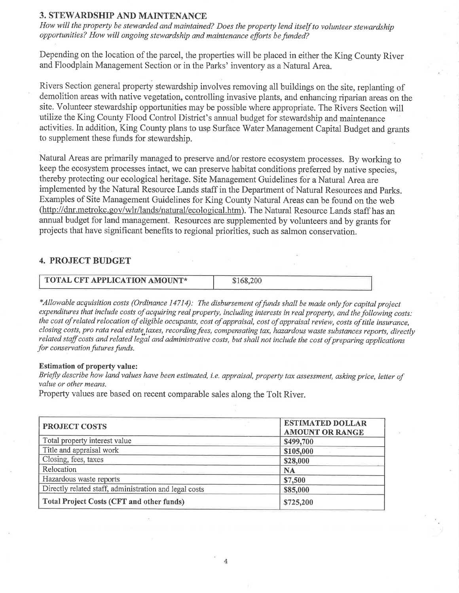### 3. STEWARDSHIP AND MAINTENANCE

How will the property be stewarded and maintained? Does the property lend itself to volunteer stewardship opportunities? How will ongoing stewardship and maintenance efforts be funded?

Depending on the location of the parcel, the properties will be placed in either the King County River and Floodplain Management Section or in the Parks' inventory as a Natural Area.

Rivers Section general property stewardship involves removing all buildings on the site, replanting of demolition areas with native vegetation, controlling invasive plants, and enhancing riparian areas on the site. Volunteer stewardship opportunities may be possible where appropriate. The Rivers Section will utilize the King County Flood Control District's annual budget for stewardship and maintenance activities. In addition, King County plans to usg Surface Water Management Capital Budget and grants to supplement these funds for stewardship.

Natural Areas are primarily managed to preserve and/or restore ecosystem processes. By working to keep the ecosystem processes intact, we can preserve habitat conditions preferred by native species, thereby protecting our ecological heritage. Site Management Guidelines for a Natural Area are implemented by the Natural Resource Lands staff in the Department of Natural Resources and Parks. Examples of Site Management Guidelines for King County Natural Areas can be found on the web (http://dnr.metrokc.gov/wlr/lands/natural/ecological.htm). The Natural Resource Lands staff has an annual budget for land management. Resources are supplemented by volunteers and by grants for projects that have significant benefits to regional priorities, such as salmon conservation.

### 4. PROJECT BUDGET

| TOTAL CFT APPLICATION AMOUNT* | \$168.200 |  |
|-------------------------------|-----------|--|
|                               |           |  |

\*Allowable acquisition costs (Ordinance 14714): The disbursement offunds shalt be made onlyfor capital project expenditures that include costs of acquiring real property, including interests in real property, and the following costs: the cost of related relocation of eligible occupants, cost of appraisal, cost of appraisal review, costs of title insurance, closing costs, pro rata real estate taxes, recording fees, compensating tax, hazardous waste substances reports, directly related staff costs and related legal and administrative costs, but shall not include the cost of preparing applications for conservation futures funds.

#### Estimation of property value:

Briefly describe how land values have been estimated, i.e. appraisal, property tax assessment, asking price, letter of value or other means.

Property values are based on recent comparable sales along the Tolt River.

| <b>PROJECT COSTS</b>                                   | <b>ESTIMATED DOLLAR</b><br><b>AMOUNT OR RANGE</b> |
|--------------------------------------------------------|---------------------------------------------------|
| Total property interest value                          | \$499,700                                         |
| Title and appraisal work                               | \$105,000                                         |
| Closing, fees, taxes                                   | \$28,000                                          |
| Relocation                                             | <b>NA</b>                                         |
| Hazardous waste reports                                | \$7,500                                           |
| Directly related staff, administration and legal costs | \$85,000                                          |
| <b>Total Project Costs (CFT and other funds)</b>       | \$725,200                                         |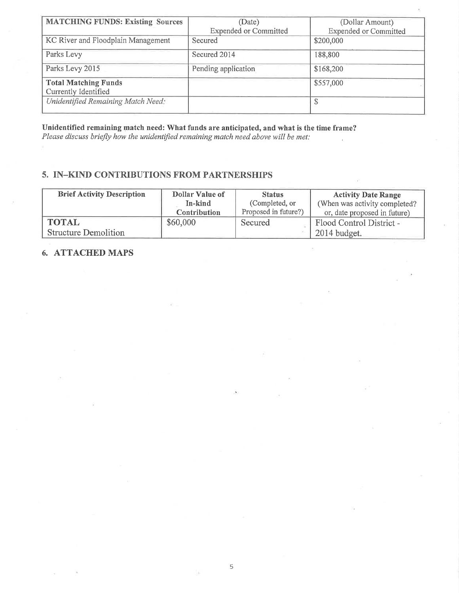| <b>MATCHING FUNDS: Existing Sources</b> | (Date)                       | (Dollar Amount)              |
|-----------------------------------------|------------------------------|------------------------------|
|                                         | <b>Expended or Committed</b> | <b>Expended or Committed</b> |
| KC River and Floodplain Management      | Secured                      | \$200,000                    |
| Parks Levy                              | Secured 2014                 | 188,800                      |
| Parks Levy 2015                         | Pending application          | \$168,200                    |
| <b>Total Matching Funds</b>             |                              | \$557,000                    |
| Currently Identified                    |                              |                              |
| Unidentified Remaining Match Need:      |                              | \$                           |

Unidentified remaining match need: What funds are anticipated, and what is the time frame? Please discuss briefly how the unidentified remaining match need above will be met:

## 5. IN\_KIND CONTRIBUTIONS FROM PARTNERSHIPS

| <b>Brief Activity Description</b> | Dollar Value of     | <b>Status</b>        | <b>Activity Date Range</b>    |
|-----------------------------------|---------------------|----------------------|-------------------------------|
|                                   | In-kind             | (Completed, or       | (When was activity completed? |
|                                   | <b>Contribution</b> | Proposed in future?) | or, date proposed in future)  |
| <b>TOTAL</b>                      | \$60,000            | Secured              | Flood Control District -      |
| <b>Structure Demolition</b>       |                     |                      | $2014$ budget.                |

5

## 6. ATTACHED MAPS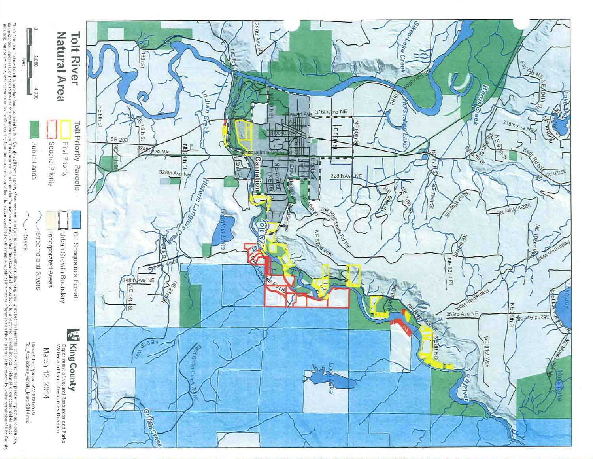

The information included on this map has been compiled by King for the partic standation and the compromination or contentions or what can accuracy, as to a scouncey, a secure or included as the searching the present inter